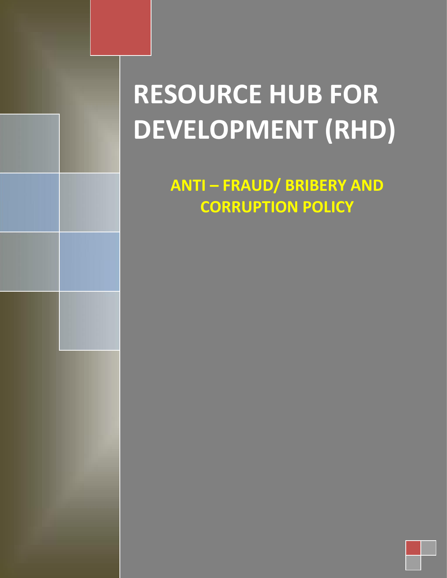# **RESOURCE HUB FOR DEVELOPMENT (RHD)**

**ANTI – FRAUD/ BRIBERY AND CORRUPTION POLICY**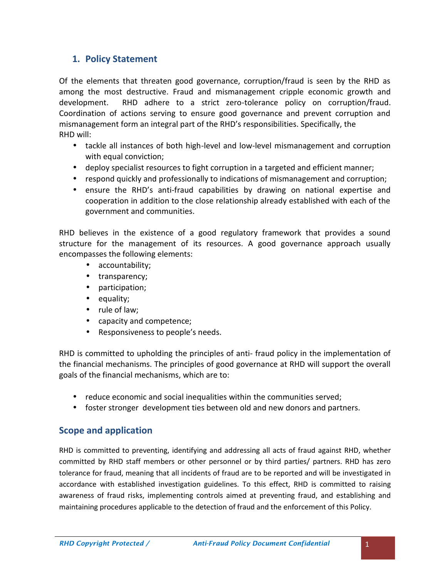# **1. Policy Statement**

Of the elements that threaten good governance, corruption/fraud is seen by the RHD as among the most destructive. Fraud and mismanagement cripple economic growth and development. RHD adhere to a strict zero-tolerance policy on corruption/fraud. Coordination of actions serving to ensure good governance and prevent corruption and mismanagement form an integral part of the RHD's responsibilities. Specifically, the RHD will:

- tackle all instances of both high-level and low-level mismanagement and corruption with equal conviction;
- deploy specialist resources to fight corruption in a targeted and efficient manner;
- respond quickly and professionally to indications of mismanagement and corruption;
- ensure the RHD's anti-fraud capabilities by drawing on national expertise and cooperation in addition to the close relationship already established with each of the government and communities.

RHD believes in the existence of a good regulatory framework that provides a sound structure for the management of its resources. A good governance approach usually encompasses the following elements:

- accountability;
- transparency;
- participation;
- equality;
- rule of law;
- capacity and competence;
- Responsiveness to people's needs.

RHD is committed to upholding the principles of anti- fraud policy in the implementation of the financial mechanisms. The principles of good governance at RHD will support the overall goals of the financial mechanisms, which are to:

- reduce economic and social inequalities within the communities served;
- foster stronger development ties between old and new donors and partners.

# **Scope and application**

RHD is committed to preventing, identifying and addressing all acts of fraud against RHD, whether committed by RHD staff members or other personnel or by third parties/ partners. RHD has zero tolerance for fraud, meaning that all incidents of fraud are to be reported and will be investigated in accordance with established investigation guidelines. To this effect, RHD is committed to raising awareness of fraud risks, implementing controls aimed at preventing fraud, and establishing and maintaining procedures applicable to the detection of fraud and the enforcement of this Policy.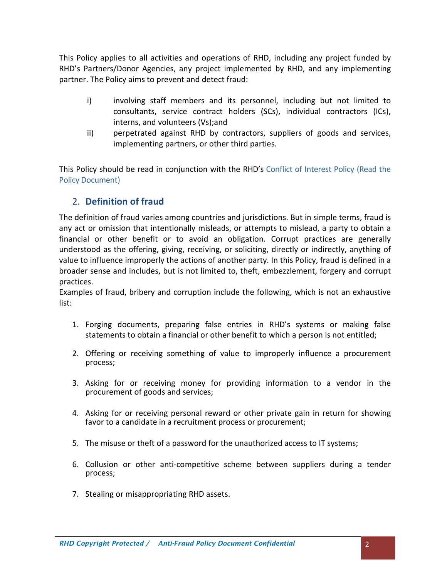This Policy applies to all activities and operations of RHD, including any project funded by RHD's Partners/Donor Agencies, any project implemented by RHD, and any implementing partner. The Policy aims to prevent and detect fraud:

- i) involving staff members and its personnel, including but not limited to consultants, service contract holders (SCs), individual contractors (ICs), interns, and volunteers (Vs);and
- ii) perpetrated against RHD by contractors, suppliers of goods and services, implementing partners, or other third parties.

This Policy should be read in conjunction with the RHD's Conflict of Interest Policy (Read the Policy Document)

# 2. **Definition of fraud**

The definition of fraud varies among countries and jurisdictions. But in simple terms, fraud is any act or omission that intentionally misleads, or attempts to mislead, a party to obtain a financial or other benefit or to avoid an obligation. Corrupt practices are generally understood as the offering, giving, receiving, or soliciting, directly or indirectly, anything of value to influence improperly the actions of another party. In this Policy, fraud is defined in a broader sense and includes, but is not limited to, theft, embezzlement, forgery and corrupt practices.

Examples of fraud, bribery and corruption include the following, which is not an exhaustive list:

- 1. Forging documents, preparing false entries in RHD's systems or making false statements to obtain a financial or other benefit to which a person is not entitled;
- 2. Offering or receiving something of value to improperly influence a procurement process;
- 3. Asking for or receiving money for providing information to a vendor in the procurement of goods and services;
- 4. Asking for or receiving personal reward or other private gain in return for showing favor to a candidate in a recruitment process or procurement;
- 5. The misuse ortheft of a password for the unauthorized access to IT systems;
- 6. Collusion or other anti-competitive scheme between suppliers during a tender process;
- 7. Stealing or misappropriating RHD assets.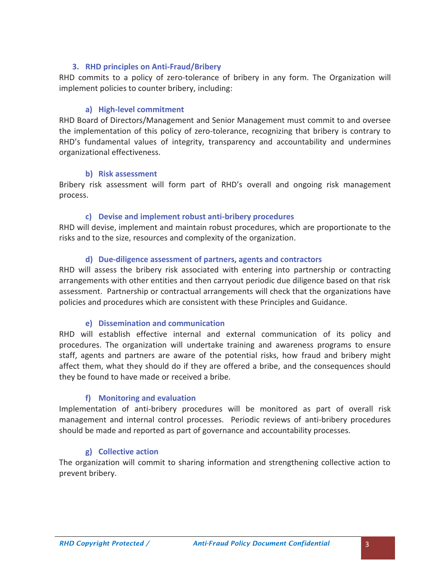## **3. RHD principles on Anti-Fraud/Bribery**

RHD commits to a policy of zero-tolerance of bribery in any form. The Organization will implement policies to counter bribery, including:

#### **a) High-level commitment**

RHD Board of Directors/Management and Senior Management must commit to and oversee the implementation of this policy of zero-tolerance, recognizing that bribery is contrary to RHD's fundamental values of integrity, transparency and accountability and undermines organizational effectiveness.

#### **b) Risk assessment**

Bribery risk assessment will form part of RHD's overall and ongoing risk management process.

#### **c) Devise and implement robust anti-bribery procedures**

RHD will devise, implement and maintain robust procedures, which are proportionate to the risks and to the size, resources and complexity of the organization.

#### **d) Due-diligence assessment of partners, agents and contractors**

RHD will assess the bribery risk associated with entering into partnership or contracting arrangements with other entities and then carryout periodic due diligence based on that risk assessment. Partnership or contractual arrangements will check that the organizations have policies and procedures which are consistent with these Principles and Guidance.

#### **e) Dissemination and communication**

RHD will establish effective internal and external communication of its policy and procedures. The organization will undertake training and awareness programs to ensure staff, agents and partners are aware of the potential risks, how fraud and bribery might affect them, what they should do if they are offered a bribe, and the consequences should they be found to have made or received a bribe.

#### **f) Monitoring and evaluation**

Implementation of anti-bribery procedures will be monitored as part of overall risk management and internal control processes. Periodic reviews of anti-bribery procedures should be made and reported as part of governance and accountability processes.

#### **g) Collective action**

The organization will commit to sharing information and strengthening collective action to prevent bribery.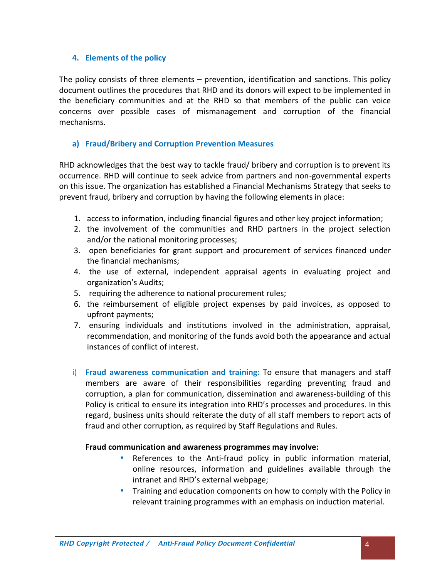## **4. Elements of the policy**

The policy consists of three elements – prevention, identification and sanctions. This policy document outlines the procedures that RHD and its donors will expect to be implemented in the beneficiary communities and at the RHD so that members of the public can voice concerns over possible cases of mismanagement and corruption of the financial mechanisms.

## **a) Fraud/Bribery and Corruption Prevention Measures**

RHD acknowledges that the best way to tackle fraud/ bribery and corruption is to prevent its occurrence. RHD will continue to seek advice from partners and non-governmental experts on this issue. The organization has established a Financial Mechanisms Strategy that seeks to prevent fraud, bribery and corruption by having the following elements in place:

- 1. access to information, including financial figures and other key project information;
- 2. the involvement of the communities and RHD partners in the project selection and/or the national monitoring processes;
- 3. open beneficiaries for grant support and procurement of services financed under the financial mechanisms;
- 4. the use of external, independent appraisal agents in evaluating project and organization's Audits;
- 5. requiring the adherence to national procurement rules;
- 6. the reimbursement of eligible project expenses by paid invoices, as opposed to upfront payments;
- 7. ensuring individuals and institutions involved in the administration, appraisal, recommendation, and monitoring of the funds avoid both the appearance and actual instances of conflict of interest.
- i) **Fraud awareness communication and training:** To ensure that managers and staff members are aware of their responsibilities regarding preventing fraud and corruption, a plan for communication, dissemination and awareness-building ofthis Policy is critical to ensure its integration into RHD's processes and procedures. In this regard, business units should reiterate the duty of all staff members to report acts of fraud and other corruption, as required by Staff Regulations and Rules.

#### **Fraud communication and awareness programmes may involve:**

- References to the Anti-fraud policy in public information material, online resources, information and guidelines available through the intranet and RHD's external webpage;
- Training and education components on how to comply with the Policy in relevant training programmes with an emphasis on induction material.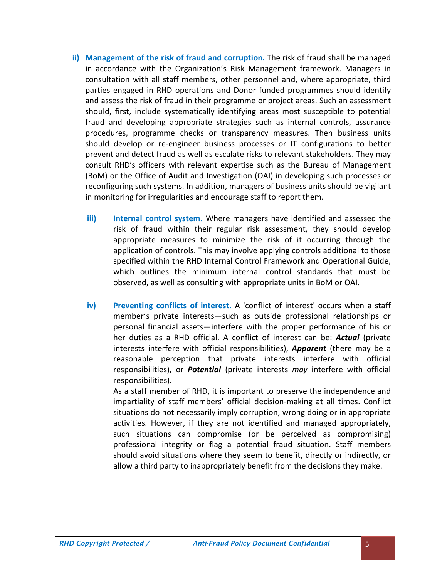- **ii) Management of the risk of fraud and corruption.** The risk offraud shall be managed in accordance with the Organization's Risk Management framework. Managers in consultation with all staff members, other personnel and, where appropriate, third parties engaged in RHD operations and Donor funded programmes should identify and assess the risk offraud in their programme or project areas. Such an assessment should, first, include systematically identifying areas most susceptible to potential fraud and developing appropriate strategies such as internal controls, assurance procedures, programme checks or transparency measures. Then business units should develop or re-engineer business processes or IT configurations to better prevent and detect fraud as well as escalate risks to relevant stakeholders. They may consult RHD's officers with relevant expertise such as the Bureau of Management (BoM) or the Office of Audit and Investigation (OAI) in developing such processes or reconfiguring such systems. In addition, managers of business units should be vigilant in monitoring for irregularities and encourage staff to report them.
	- **iii) Internal control system.** Where managers have identified and assessed the risk of fraud within their regular risk assessment, they should develop appropriate measures to minimize the risk of it occurring through the application of controls. This may involve applying controls additional to those specified within the RHD Internal Control Framework and Operational Guide, which outlines the minimum internal control standards that must be observed, as well as consulting with appropriate units in BoM or OAI.
	- **iv) Preventing conflicts of interest.** A 'conflict of interest' occurs when a staff member's private interests—such as outside professional relationships or personal financial assets—interfere with the proper performance of his or her duties as a RHD official. A conflict of interest can be: *Actual* (private interests interfere with official responsibilities), *Apparent* (there may be a reasonable perception that private interests interfere with official responsibilities), or *Potential* (private interests *may* interfere with official responsibilities).

As a staff member of RHD, it is important to preserve the independence and impartiality of staff members' official decision-making at all times. Conflict situations do not necessarily imply corruption, wrong doing or in appropriate activities. However, if they are not identified and managed appropriately, such situations can compromise (or be perceived as compromising) professional integrity or flag a potential fraud situation. Staff members should avoid situations where they seem to benefit, directly or indirectly, or allow a third party to inappropriately benefit from the decisions they make.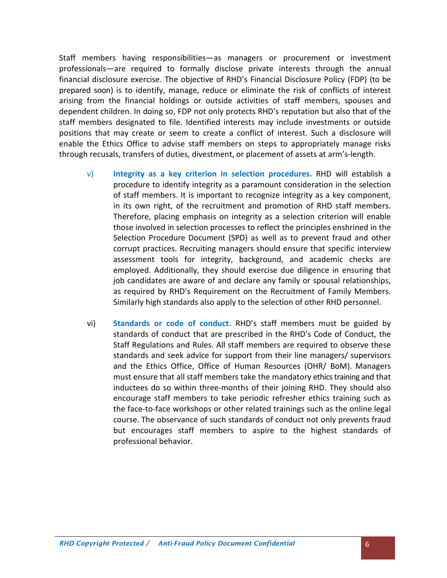Staff members having responsibilities—as managers or procurement or investment professionals—are required to formally disclose private interests through the annual financial disclosure exercise. The objective of RHD's Financial Disclosure Policy (FDP) (to be prepared soon) is to identify, manage, reduce or eliminate the risk of conflicts of interest arising from the financial holdings or outside activities of staff members, spouses and dependent children. In doing so, FDP not only protects RHD's reputation but also that of the staff members designated to file. Identified interests may include investments or outside positions that may create or seem to create a conflict of interest. Such a disclosure will enable the Ethics Office to advise staff members on steps to appropriately manage risks through recusals, transfers of duties, divestment, or placement of assets at arm's-length.

- v) **Integrity as a key criterion in selection procedures.** RHD will establish a procedure to identify integrity as a paramount consideration in the selection of staff members. It is important to recognize integrity as a key component, in its own right, of the recruitment and promotion of RHD staff members. Therefore, placing emphasis on integrity as a selection criterion will enable those involved in selection processes to reflect the principles enshrined in the Selection Procedure Document (SPD) as well as to prevent fraud and other corrupt practices. Recruiting managers should ensure that specific interview assessment tools for integrity, background, and academic checks are employed. Additionally, they should exercise due diligence in ensuring that job candidates are aware of and declare any family or spousal relationships, as required by RHD's Requirement on the Recruitment of Family Members. Similarly high standards also apply to the selection of other RHD personnel.
- vi) **Standards or code ofconduct.** RHD's staff members must be guided by standards of conduct that are prescribed in the RHD's Code of Conduct, the Staff Regulations and Rules. All staff members are required to observe these standards and seek advice for support from their line managers/ supervisors and the Ethics Office, Office of Human Resources (OHR/ BoM). Managers must ensure that all staff members take the mandatory ethics training and that inductees do so within three-months of their joining RHD. They should also encourage staff members to take periodic refresher ethics training such as the face-to-face workshops or other related trainings such as the online legal course. The observance of such standards of conduct not only prevents fraud but encourages staff members to aspire to the highest standards of professional behavior.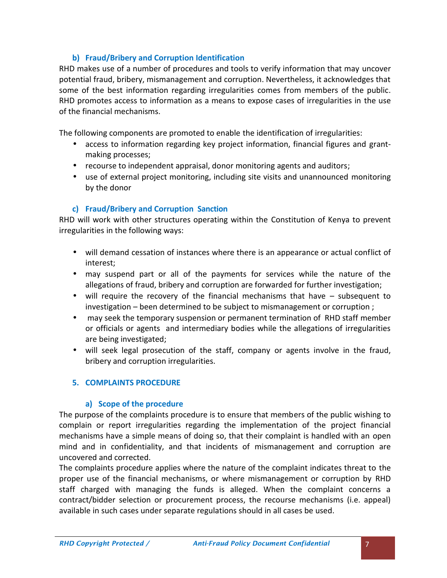## **b) Fraud/Bribery and Corruption Identification**

RHD makes use of a number of procedures and tools to verify information that may uncover potential fraud, bribery, mismanagement and corruption. Nevertheless, it acknowledges that some of the best information regarding irregularities comes from members of the public. RHD promotes access to information as a means to expose cases of irregularities in the use of the financial mechanisms.

The following components are promoted to enable the identification of irregularities:

- access to information regarding key project information, financial figures and grant making processes;
- recourse to independent appraisal, donor monitoring agents and auditors;
- use of external project monitoring, including site visits and unannounced monitoring by the donor

# **c) Fraud/Bribery and Corruption Sanction**

RHD will work with other structures operating within the Constitution of Kenya to prevent irregularities in the following ways:

- will demand cessation of instances where there is an appearance or actual conflict of interest;
- may suspend part or all of the payments for services while the nature of the allegations of fraud, bribery and corruption are forwarded for further investigation;
- will require the recovery of the financial mechanisms that have subsequent to investigation – been determined to be subject to mismanagement or corruption ;
- may seek the temporary suspension or permanent termination of RHD staff member or officials or agents and intermediary bodies while the allegations of irregularities are being investigated;
- will seek legal prosecution of the staff, company or agents involve in the fraud, bribery and corruption irregularities.

# **5. COMPLAINTS PROCEDURE**

## **a) Scope of the procedure**

The purpose of the complaints procedure is to ensure that members of the public wishing to complain or report irregularities regarding the implementation of the project financial mechanisms have a simple means of doing so, that their complaint is handled with an open mind and in confidentiality, and that incidents of mismanagement and corruption are uncovered and corrected.

The complaints procedure applies where the nature of the complaint indicates threat to the proper use of the financial mechanisms, or where mismanagement or corruption by RHD staff charged with managing the funds is alleged. When the complaint concerns a contract/bidder selection or procurement process, the recourse mechanisms (i.e. appeal) available in such cases under separate regulations should in all cases be used.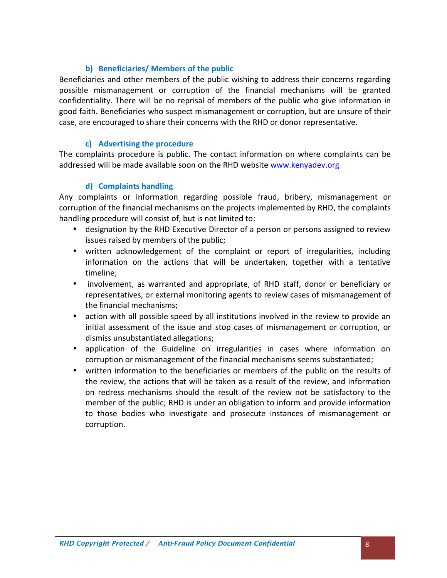## **b) Beneficiaries/ Members of the public**

Beneficiaries and other members of the public wishing to address their concerns regarding possible mismanagement or corruption of the financial mechanisms will be granted confidentiality. There will be no reprisal of members of the public who give information in good faith. Beneficiaries who suspect mismanagement or corruption, but are unsure of their case, are encouraged to share their concerns with the RHD or donor representative.

## **c) Advertising the procedure**

The complaints procedure is public. The contact information on where complaints can be addressed will be made available soon on the RHD website www.kenyadev.org

## **d) Complaints handling**

Any complaints or information regarding possible fraud, bribery, mismanagement or corruption of the financial mechanisms on the projects implemented by RHD, the complaints handling procedure will consist of, but is not limited to:

- designation by the RHD Executive Director of a person or persons assigned to review issues raised by members of the public;
- written acknowledgement of the complaint or report of irregularities, including information on the actions that will be undertaken, together with a tentative timeline;
- involvement, as warranted and appropriate, of RHD staff, donor or beneficiary or representatives, or external monitoring agents to review cases of mismanagement of the financial mechanisms;
- action with all possible speed by all institutions involved in the review to provide an initial assessment of the issue and stop cases of mismanagement or corruption, or dismiss unsubstantiated allegations;
- application of the Guideline on irregularities in cases where information on corruption or mismanagement of the financial mechanisms seems substantiated;
- written information to the beneficiaries or members of the public on the results of the review, the actions that will be taken as a result of the review, and information on redress mechanisms should the result of the review not be satisfactory to the member of the public; RHD is under an obligation to inform and provide information to those bodies who investigate and prosecute instances of mismanagement or corruption.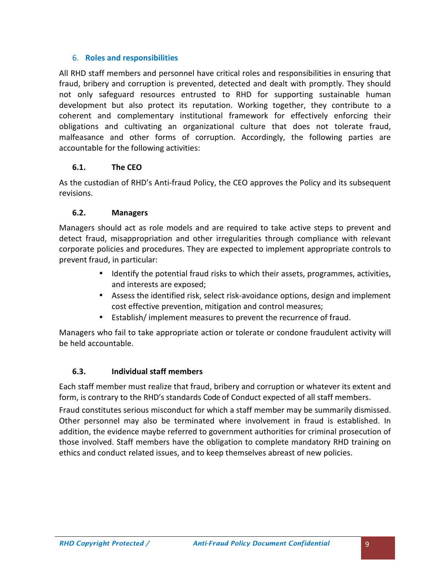## 6. **Roles and responsibilities**

All RHD staff members and personnel have critical roles and responsibilities in ensuring that fraud, bribery and corruption is prevented, detected and dealt with promptly. They should not only safeguard resources entrusted to RHD for supporting sustainable human development but also protect its reputation. Working together, they contribute to a coherent and complementary institutional framework for effectively enforcing their obligations and cultivating an organizational culture that does not tolerate fraud, malfeasance and other forms of corruption. Accordingly, the following parties are accountable for the following activities:

## **6.1. The CEO**

As the custodian of RHD's Anti-fraud Policy, the CEO approves the Policy and its subsequent revisions.

## **6.2. Managers**

Managers should act as role models and are required to take active steps to prevent and detect fraud, misappropriation and other irregularities through compliance with relevant corporate policies and procedures. They are expected to implement appropriate controls to prevent fraud, in particular:

- Identify the potential fraud risks to which their assets, programmes, activities, and interests are exposed;
- Assess the identified risk, select risk-avoidance options, design and implement cost effective prevention, mitigation and control measures;
- Establish/ implement measures to prevent the recurrence of fraud.

Managers who fail to take appropriate action or tolerate or condone fraudulent activity will be held accountable.

# **6.3. Individual staff members**

Each staff member must realize that fraud, bribery and corruption or whatever its extent and form, is contrary to the RHD's standards Code of Conduct expected of all staff members.

Fraud constitutes serious misconduct for which a staff member may be summarily dismissed. Other personnel may also be terminated where involvement in fraud is established. In addition, the evidence maybe referred to government authorities for criminal prosecution of those involved. Staff members have the obligation to complete mandatory RHD training on ethics and conduct related issues, and to keep themselves abreast of new policies.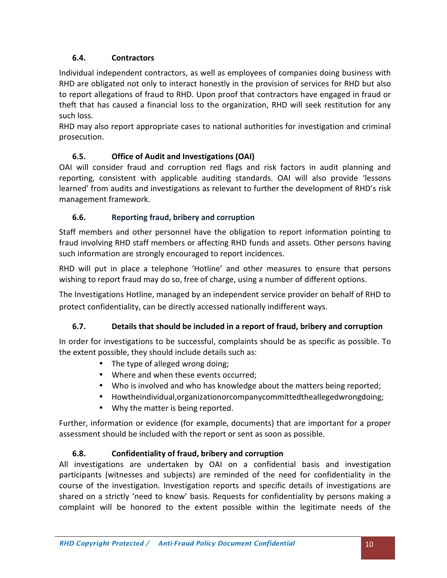# **6.4. Contractors**

Individual independent contractors, as well as employees of companies doing business with RHD are obligated not only to interact honestly in the provision of services for RHD but also to report allegations of fraud to RHD. Upon proof that contractors have engaged in fraud or theft that has caused a financial loss to the organization, RHD will seek restitution for any such loss.<br>RHD may also report appropriate cases to national authorities for investigation and criminal

prosecution.

# **6.5. Office of Audit and Investigations (OAI)**

OAI will consider fraud and corruption red flags and risk factors in audit planning and reporting, consistent with applicable auditing standards. OAI will also provide 'lessons learned' from audits and investigations as relevant to further the development of RHD's risk management framework.

# **6.6. Reporting fraud, bribery and corruption**

Staff members and other personnel have the obligation to report information pointing to fraud involving RHD staff members or affecting RHD funds and assets. Other persons having such information are strongly encouraged to report incidences.

RHD will put in place a telephone 'Hotline' and other measures to ensure that persons wishing to report fraud may do so, free of charge, using a number of different options.

The Investigations Hotline, managed by an independent service provider on behalf of RHD to protect confidentiality, can be directly accessed nationally indifferent ways.

# **6.7. Details that should be included in a report of fraud, bribery and corruption**

In order for investigations to be successful, complaints should be as specific as possible. To the extent possible, they should include details such as:

- The type of alleged wrong doing;
- Where and when these events occurred:
- Who is involved and who has knowledge about the matters being reported;
- Howtheindividual,organizationorcompanycommittedtheallegedwrongdoing;
- Why the matter is being reported.

Further, information or evidence (for example, documents) that are important for a proper assessment should be included with the report or sent as soon as possible.

## **6.8. Confidentiality of fraud, bribery and corruption**

All investigations are undertaken by OAI on a confidential basis and investigation participants (witnesses and subjects) are reminded of the need for confidentiality in the course of the investigation. Investigation reports and specific details of investigations are shared on a strictly 'need to know' basis. Requests for confidentiality by persons making a complaint will be honored to the extent possible within the legitimate needs of the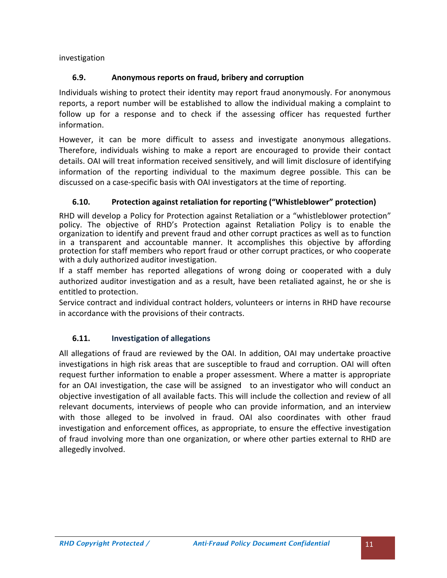investigation

# **6.9. Anonymous reports on fraud, bribery and corruption**

Individuals wishing to protect their identity may report fraud anonymously. For anonymous reports, a report number will be established to allow the individual making a complaint to follow up for a response and to check if the assessing officer has requested further information.

However, it can be more difficult to assess and investigate anonymous allegations. Therefore, individuals wishing to make a report are encouraged to provide their contact details. OAI will treat information received sensitively, and will limit disclosure of identifying information of the reporting individual to the maximum degree possible. This can be discussed on a case-specific basis with OAI investigators at the time of reporting.

# **6.10. Protection against retaliation for reporting ("Whistleblower" protection)**

RHD will develop a Policy for Protection against Retaliation or a "whistleblower protection" policy. The objective of RHD's Protection against Retaliation Policy is to enable the organization to identify and prevent fraud and other corrupt practices as well as to function in a transparent and accountable manner. It accomplishes this objective by affording protection for staff members who report fraud or other corrupt practices, or who cooperate with a duly authorized auditor investigation.

If a staff member has reported allegations of wrong doing or cooperated with a duly authorized auditor investigation and as a result, have been retaliated against, he or she is entitled to protection.

Service contract and individual contract holders, volunteers or interns in RHD have recourse in accordance with the provisions of their contracts.

# **6.11. Investigation of allegations**

All allegations of fraud are reviewed by the OAI. In addition, OAI may undertake proactive investigations in high risk areas that are susceptible to fraud and corruption. OAI will often request further information to enable a proper assessment. Where a matter is appropriate for an OAI investigation, the case will be assigned to an investigator who will conduct an objective investigation of all available facts. This will include the collection and review of all relevant documents, interviews of people who can provide information, and an interview with those alleged to be involved in fraud. OAI also coordinates with other fraud investigation and enforcement offices, as appropriate, to ensure the effective investigation of fraud involving more than one organization, or where other parties external to RHD are allegedly involved.